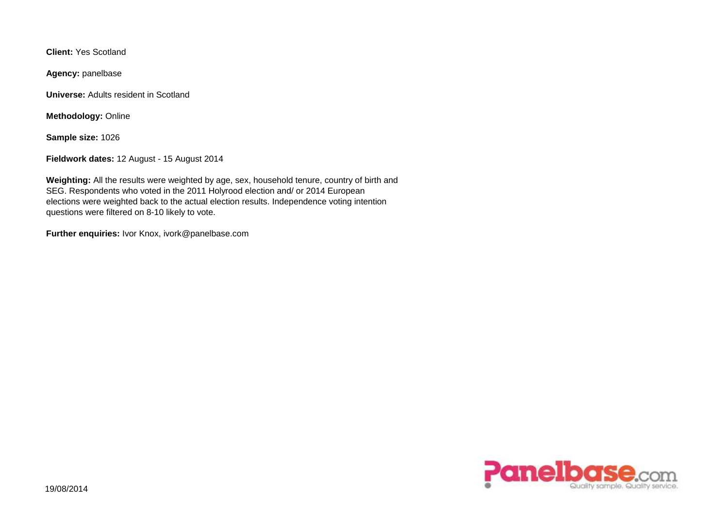**Client:** Yes Scotland

**Agency:** panelbase

**Universe:** Adults resident in Scotland

**Methodology:** Online

**Sample size:** 1026

**Fieldwork dates:** 12 August - 15 August 2014

**Weighting:** All the results were weighted by age, sex, household tenure, country of birth and SEG. Respondents who voted in the 2011 Holyrood election and/ or 2014 European elections were weighted back to the actual election results. Independence voting intention questions were filtered on 8-10 likely to vote.

**Further enquiries:** Ivor Knox, ivork@panelbase.com

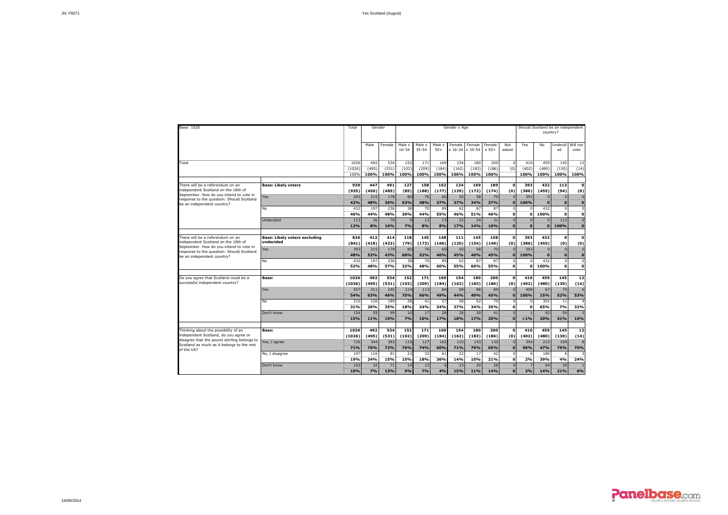| Base: 1026                                                                                                                         |                                                   | Total                  | Gender               |                      |                      |                      |                      | Gender x Age          |                       |                      |                             |                                 |                             | Should Scotland be an independent<br>country? |                                      |
|------------------------------------------------------------------------------------------------------------------------------------|---------------------------------------------------|------------------------|----------------------|----------------------|----------------------|----------------------|----------------------|-----------------------|-----------------------|----------------------|-----------------------------|---------------------------------|-----------------------------|-----------------------------------------------|--------------------------------------|
|                                                                                                                                    |                                                   |                        | Male                 | Female               | Male x<br>$16 - 34$  | Male x<br>$35 - 54$  | Male x<br>$55+$      | Female<br>$x 16 - 34$ | Female<br>$x 35 - 54$ | Female<br>$x 55+$    | Not<br>asked                | Yes                             | No                          | Undecid<br>ed                                 | Will not<br>vote                     |
| Total                                                                                                                              |                                                   | 1026<br>(1026)<br>100% | 492<br>(495)<br>100% | 534<br>(531)<br>100% | 152<br>(102)<br>100% | 171<br>(209)<br>100% | 169<br>(184)<br>100% | 154<br>(162)<br>100%  | 180<br>(183)<br>100%  | 200<br>(186)<br>100% | $\Omega$<br>(0)             | 410<br>(402)<br>100%            | 459<br>(480)<br>100%        | 145<br>(130)<br>100%                          | 12<br>---<br>(14)<br>100%            |
| There will be a referendum on an<br>independent Scotland on the 18th of                                                            | <b>Base: Likely voters</b>                        | 939<br>(935)           | 447<br>(450)         | 491<br>(485)         | 127<br>(85)          | 158<br>(188)         | 162<br>(177)         | 134<br>(139)          | 169<br>(172)          | 189<br>(174)         | $\mathbf 0$<br>(0)          | 393<br>(386)                    | 432<br>(455)                | 113<br>(94)                                   | $\Omega$<br>(0)                      |
| September. How do you intend to vote in<br>response to the question: Should Scotland<br>be an independent country?                 | Yes                                               | 393<br>42%             | 215<br>48%           | 178<br>36%           | 80<br>63%            | 76<br>48%            | 60<br>37%            | 50<br>37%             | 58<br>34%             | 70<br>37%            | $\Omega$                    | 393<br>100%                     | $\Omega$<br>$\Omega$        | $\Omega$<br>$\Omega$                          | $\Omega$<br>$\Omega$                 |
|                                                                                                                                    | No<br>Undecided                                   | 432<br>46%<br>113      | 197<br>44%<br>36     | 236<br>48%<br>78     | 38<br>30%            | 70<br>44%<br>13      | 89<br>55%<br>13      | 62<br>46%<br>22       | 87<br>51%<br>24       | 87<br>46%<br>31      | $\mathbf{0}$<br>$\Omega$    | n<br>$\Omega$<br>$\overline{0}$ | 432<br>100%<br>$\mathbf{0}$ | C<br>$\Omega$<br>113                          | n<br>$\Omega$<br>$\Omega$            |
|                                                                                                                                    |                                                   | 12%                    | 8%                   | 16%                  | 7%                   | 8%                   | 8%                   | 17%                   | 14%                   | 16%                  | n                           | $\Omega$                        | $\mathbf{o}$                | 100%                                          | $\Omega$                             |
| There will be a referendum on an<br>independent Scotland on the 18th of<br>September. How do you intend to vote in                 | <b>Base: Likely voters excluding</b><br>undecided | 826<br>(841)           | 412<br>(418)         | 414<br>(423)         | 118<br>(79)          | 145<br>(173)         | 148<br>(166)         | 111<br>(120)          | 145<br>(154)          | 158<br>(149)         | $\mathbf{0}$<br>(0)         | 393<br>(386)                    | 432<br>(455)                | $\mathbf{o}$<br>(0)                           | $\Omega$<br>(0)                      |
| response to the question: Should Scotland<br>be an independent country?                                                            | Yes<br>No                                         | 393<br>48%<br>432      | 215<br>52%<br>197    | 178<br>43%<br>236    | 80<br>68%<br>38      | 76<br>52%<br>70      | 60<br>40%<br>89      | 50<br>45%<br>62       | 58<br>40%<br>87       | 70<br>45%<br>87      | $\Omega$                    | 393<br>100%<br>$\Omega$         | $\Omega$<br>432             | $\epsilon$<br>$\Omega$<br>$\Omega$            | $\Omega$<br>$\mathbf{0}$<br>$\Omega$ |
|                                                                                                                                    |                                                   | 52%                    | 48%                  | 57%                  | 32%                  | 48%                  | 60%                  | 55%                   | 60%                   | 55%                  | $\Omega$                    | $\Omega$                        | 100%                        | $\Omega$                                      | ö                                    |
| Do you agree that Scotland could be a<br>successful independent country?                                                           | Base:<br>Yes                                      | 1026<br>(1026)<br>557  | 492<br>(495)<br>311  | 534<br>(531)<br>245  | 152<br>(102)<br>114  | 171<br>(209)<br>113  | 169<br>(184)<br>84   | 154<br>(162)<br>68    | 180<br>(183)<br>88    | 200<br>(186)<br>89   | $\Omega$<br>(0)<br>$\Omega$ | 410<br>(402)<br>408             | 459<br>(480)<br>67          | 145<br>(130)<br>75                            | 12<br>(14)                           |
|                                                                                                                                    | <b>No</b>                                         | 54%<br>315             | 63%<br>126           | 46%<br>189           | 75%<br>28            | 66%<br>41            | 49%<br>57            | 44%<br>58             | 49%<br>62             | 45%<br>70            | $\Omega$                    | 100%<br>$^{\circ}$              | 15%<br>301                  | 52%<br>11                                     | 53%                                  |
|                                                                                                                                    | Don't know                                        | 31%<br>154             | 26%<br>55            | 35%<br>99            | 18%<br>10            | 24%<br>17            | 34%<br>28            | 37%<br>28             | 34%<br>30             | 35%<br>41            | $\Omega$                    | $\Omega$                        | 65%<br>92                   | 7%<br>59                                      | 32%                                  |
| Thinking about the possibility of an                                                                                               | Base:                                             | 15%<br>1026            | 11%<br>492           | 19%<br>534           | 7%<br>152            | 10%<br>171           | 17%<br>169           | 18%<br>154            | 17%<br>180            | 20%<br>200           | $\Omega$<br>$\mathbf{o}$    | $< 1\%$<br>410                  | 20%<br>459                  | 41%<br>145                                    | 16%<br>12                            |
| independent Scotland, do you agree or<br>disagree that the pound sterling belongs to<br>Scotland as much as it belongs to the rest | Yes, I agree                                      | (1026)<br>726          | (495)<br>344         | (531)<br>383         | (102)<br>115         | (209)<br>127         | (184)<br>102         | (162)<br>110          | (183)<br>143          | (186)<br>130         | (0)                         | (402)<br>394                    | (480)<br>215                | (130)<br>109                                  | (14)                                 |
| of the UK?                                                                                                                         | No. I disagree                                    | 71%<br>197<br>19%      | 70%<br>116<br>24%    | 72%<br>81<br>15%     | 76%<br>23<br>15%     | 74%<br>32<br>18%     | 60%<br>61<br>36%     | 71%<br>22<br>14%      | 79%<br>17<br>10%      | 65%<br>42<br>21%     | $\mathbf{o}$<br>$\Omega$    | 96%<br>R<br>2%                  | 47%<br>180<br>39%           | 75%<br>É<br>4%                                | 70%<br>24%                           |
|                                                                                                                                    | Don't know                                        | 103<br>10%             | 32<br>7%             | 71<br>13%            | 14<br>9%             | 13<br>7%             | 6<br>4%              | 23<br>15%             | 20<br>11%             | 28<br>14%            | $\mathbf{0}$<br>$\Omega$    | 7<br>2%                         | 64<br>14%                   | 30<br>21%                                     | 6%                                   |

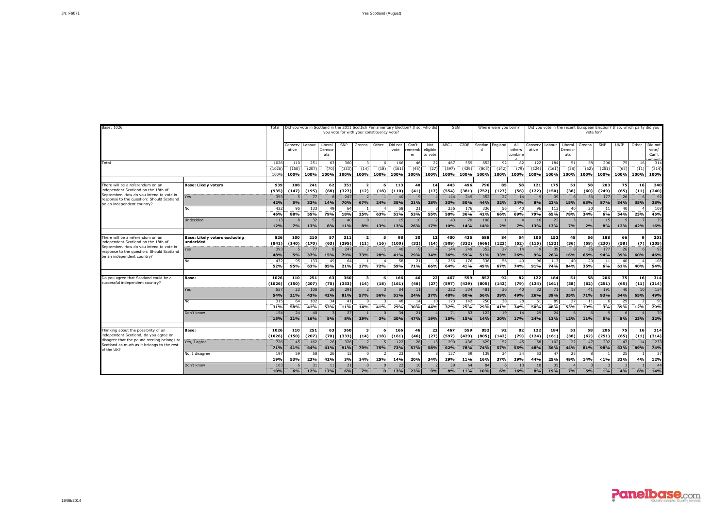| Base: 1026                                                                                                                   |                                                   | Total                             |                      |                      |                          |                      | you vote for with your constituency vote? |              |                      | Did you vote in Scotland in the 2011 Scottish Parliamentary Election? If so, who did |                            |                       | <b>SEG</b>           |                      | Where were you born? |                                   |                      | Did you vote in the recent European Election? If so, which party did you |                          | vote for?          |                      |                    |                     |                                   |
|------------------------------------------------------------------------------------------------------------------------------|---------------------------------------------------|-----------------------------------|----------------------|----------------------|--------------------------|----------------------|-------------------------------------------|--------------|----------------------|--------------------------------------------------------------------------------------|----------------------------|-----------------------|----------------------|----------------------|----------------------|-----------------------------------|----------------------|--------------------------------------------------------------------------|--------------------------|--------------------|----------------------|--------------------|---------------------|-----------------------------------|
|                                                                                                                              |                                                   |                                   | Consery<br>ative     | Labour               | Liberal<br>Democi<br>ats | SNP                  | Greens                                    | Other        | Did not<br>vote      | Can't<br>ememb<br>er                                                                 | Not<br>eligible<br>to vote | ABC1                  | C <sub>2</sub> DE    | Scotlan              | England              | All<br>others<br>combin           | Conserv<br>ative     | Labour                                                                   | Liberal<br>Democr<br>ats | Greens             | SNP                  | UKIP               | Other               | Did not<br>vote/<br>Can't<br>amam |
| Total                                                                                                                        |                                                   | 102<br>(1026)<br>100 <sup>o</sup> | 110<br>(150)<br>100% | 251<br>(207)<br>100% | -63<br>(70)<br>100%      | 360<br>(333)<br>100% | (14)<br>100%                              | (18)<br>100% | 166<br>(161)<br>100% | 46<br>(46)<br>100%                                                                   | 22<br>(27)<br>100%         | 467<br>(597<br>100%   | 559<br>(429)<br>100% | 852<br>(805)<br>100% | 92<br>(142)<br>100%  | 8<br>(79<br>100%                  | 122<br>(124)<br>100% | 184<br>(161)<br>100%                                                     | 51<br>(38)<br>100%       | 58<br>(62)<br>100% | 206<br>(251)<br>100% | 75<br>(65)<br>100% | 16<br>(11)<br>100%  | 314<br>(314)<br>100%              |
| There will be a referendum on an<br>independent Scotland on the 18th of                                                      | <b>Base: Likely voters</b>                        | 939<br>(935)                      | 108<br>(147)         | 241<br>(195)         | 62<br>(68)               | 351<br>(327)         | $\overline{\phantom{a}}$<br>(12)          | (18)         | 113<br>(110)         | 40<br>(41)                                                                           | 14<br>(17)                 | 443<br>(554)          | 496<br>(381)         | 796<br>(752)         | 85<br>(127)          | 58<br>(56)                        | 121<br>(122)         | 175<br>(150)                                                             | 51<br>(38)               | 58<br>(60)         | 203<br>(249)         | 75<br>(65)         | 16<br>(11)          | 240<br>(240)                      |
| September. How do you intend to yote in<br>response to the question: Should Scotland<br>be an independent country?           | 'es                                               | 393<br>42%                        | 5%                   | 77<br>32%            | 14%                      | 247<br>70%           | 67%                                       | 24%          | 40<br>35%            | 21%                                                                                  | 28%                        | 144<br>33%            | 249<br>50%           | 352<br>44%           | 27<br>32%            | 14<br>24%                         | 8%                   | 39<br>23%                                                                | 15%                      | 36<br>63%          | 177<br>87%           | 26<br>34%          | 6<br>35%            | 92<br>38%                         |
|                                                                                                                              | No                                                | 432<br>46%                        | 95<br>88%            | 133<br>55%           | 49<br>79%                | 64<br>18%            | 25%                                       | 63%          | 58<br>51%            | 21<br>53%                                                                            | 55%                        | 256<br>58%            | 176<br>36%           | 336<br>42%           | 56<br>66%            | $\Delta$<br>69%                   | 96<br>79%            | 113<br>65%                                                               | 40<br>78%                | 20<br>34%          | 11<br>6%             | 40<br>54%          | 23%                 | 108<br>45%                        |
|                                                                                                                              | <b>Jndecided</b>                                  | 11 <sup>3</sup><br>12%            | 7%                   | 32<br>13%            | 8%                       | 40<br>11%            | 8%                                        | 13%          | 15<br>13%            | 10<br>26%                                                                            | 17 <sub>%</sub>            | 4 <sup>5</sup><br>10% | 70<br>14%            | 108<br>14%           | 2%                   | 7%                                | 16<br>13%            | 22<br>13%                                                                | 7%                       | 2%                 | 15<br>8%             | 12%                | 42%                 | 39<br>16%                         |
| There will be a referendum on an<br>independent Scotland on the 18th of<br>September. How do you intend to vote in           | <b>Base: Likely voters excluding</b><br>undecided | 826<br>(841)                      | 100<br>(140)         | 210<br>(170)         | 57<br>(63)               | 311<br>(295)         | $\overline{ }$<br>(11)                    | -5<br>(16)   | 98<br>(100)          | 30<br>(32)                                                                           | 12<br>(14)                 | 400<br>(509)          | 426<br>(332)         | 688<br>(666)         | 84<br>(123)          | 54<br>(52)                        | 105<br>(115)         | 152<br>(132)                                                             | 48<br>(36)               | 56<br>(58)         | 188<br>(230)         | 66<br>(58)         | $\mathbf{Q}$<br>(7) | 201<br>(205)                      |
| response to the question: Should Scotland<br>be an independent country?                                                      | 'es<br>No                                         | 393<br>48%<br>43.                 | 5%<br>95             | 77<br>37%<br>133     | 15%<br>49                | 247<br>79%<br>64     | 73%                                       | 28%          | 40<br>41%<br>58      | 29%<br>21                                                                            | 34%                        | 144<br>36%<br>256     | 249<br>59%<br>176    | 352<br>51%<br>336    | 27<br>33%<br>56      | $\overline{1}$<br>26%<br>$\Delta$ | 9%<br>96             | 39<br>26%<br>113                                                         | 16%<br>40                | 36<br>65%<br>20    | 177<br>94%<br>11     | 26<br>39%<br>40    | 60%                 | 92<br>46%<br>108                  |
|                                                                                                                              |                                                   | 52%                               | 95%                  | 63%                  | 85%                      | 21%                  | 27%                                       | 72%          | 59%                  | 71%                                                                                  | 66%                        | 64%                   | 41%                  | 49%                  | 67%                  | 74%                               | 91%                  | 74%                                                                      | 84%                      | 35%                | 6%                   | 61%                | 40%                 | 54%                               |
| Do you agree that Scotland could be a<br>successful independent country?                                                     | Base:                                             | 1026<br>(1026)                    | 110<br>(150)         | 251<br>(207)         | 63<br>(70)               | 360<br>(333)         | $\overline{\mathbf{3}}$<br>(14)           | 6<br>(18)    | 166<br>(161)         | 46<br>(46)                                                                           | 22<br>(27)                 | 467<br>(597)          | 559<br>(429)         | 852<br>(805)         | 92<br>(142)          | 82<br>(79)                        | 122<br>(124)         | 184<br>(161)                                                             | 51<br>(38)               | 58<br>(62)         | 206<br>(251)         | 75<br>(65)         | 16<br>(11)          | 314<br>(314)                      |
|                                                                                                                              | Yes<br>No                                         | 557<br>54%<br>315                 | 23<br>21%<br>64      | 108<br>43%<br>102    | 26<br>42%<br>34          | 291<br>81%<br>41     | 57%                                       | 56%          | 84<br>51%<br>48      | 11<br>24%<br>14                                                                      | 37%<br>10                  | 222<br>48%<br>173     | 334<br>60%<br>142    | 481<br>56%<br>250    | 36<br>39%<br>38      | $\Delta$<br>49%<br>28             | 32<br>26%<br>61      | 71<br>39%<br>89                                                          | 18<br>35%<br>27          | 41<br>71%<br>11    | 191<br>93%           | 40<br>54%<br>29    | 10<br>65%           | 154<br>49%<br>90                  |
|                                                                                                                              | Don't know                                        | 31%<br>154                        | 58%<br>24            | 41%<br>40            | 53%                      | 11%<br>27            | 14%                                       | 41%          | 29%<br>34            | 30%<br>21                                                                            | 44%                        | 37%<br>71             | 25%<br>83            | 29%<br>122           | ----<br>41%<br>19    | 34%                               | 50%<br>29            | 48%<br>24                                                                | 53%                      | 19%                | 3%                   | 39%                | 12%                 | 29%<br>70                         |
|                                                                                                                              |                                                   | 15%                               | 21%                  | 16%                  | 5%                       | 8%                   | 29%                                       | 3%           | 20%                  | 47%                                                                                  | 19%                        | 15%                   | 15%                  | 14%                  | 20%                  | 17%                               | 24%                  | 13%                                                                      | 12%                      | 11%                | 5%                   | 8%                 | 23%                 | 22%                               |
| Thinking about the possibility of an<br>independent Scotland, do you agree or<br>disagree that the pound sterling belongs to | Base:<br>es, I agree                              | 1026<br>(1026)<br>726             | 110<br>(150)<br>45   | 251<br>(207)<br>162  | 63<br>(70)<br>26         | 360<br>(333)<br>326  | $\overline{\mathbf{3}}$<br>(14)           | 6<br>(18)    | 166<br>(161)<br>122  | 46<br>(46)<br>26                                                                     | 22<br>(27)<br>13           | 467<br>(597)<br>290   | 559<br>(429)<br>436  | 852<br>(805)<br>629  | 92<br>(142)<br>52    | 82<br>(79)<br>45                  | 122<br>(124)<br>58   | 184<br>(161)<br>102                                                      | 51<br>(38)<br>22         | 58<br>(62)<br>47   | 206<br>(251)<br>202  | 75<br>(65)<br>47   | 16<br>(11)<br>14    | 314<br>(314)<br>233               |
| Scotland as much as it belongs to the rest<br>of the UK?                                                                     | No. I disagree                                    | 71%<br>19                         | 41%<br>59            | 64%<br>58            | 41%<br>26                | 91%<br>12            | 79%                                       | 75%          | 73%<br>23            | 57%                                                                                  | 58%                        | 62%<br>137            | 78%<br>59            | 74%<br>139           | 57%<br>34            | 55%<br>24                         | 48%<br>53            | 56%<br>47                                                                | 44%<br>25                | 81%                | 98%                  | 63%<br>25          | 89%                 | 74%<br>37                         |
|                                                                                                                              | Don't know                                        | 19%<br>10 <sup>3</sup><br>10%     | 53%<br>6%            | 23%<br>31<br>12%     | 42%<br>-11<br>17%        | 3%<br>21<br>6%       | 14%<br>7%                                 | 25%          | 14%<br>22<br>13%     | 20%<br>10<br>23%                                                                     | 34%<br>9%                  | 29%<br>39<br>8%       | 11%<br>64<br>11%     | 16%<br>84<br>10%     | 37%<br>6%            | 29%<br>16%                        | 44%<br>10<br>8%      | 25%<br>35<br>19%                                                         | 49%<br>7%                | 14%<br>5%          | $< 1\%$<br>1%        | 33%<br>4%          | 4%<br>8%            | 12%<br>44<br>14%                  |

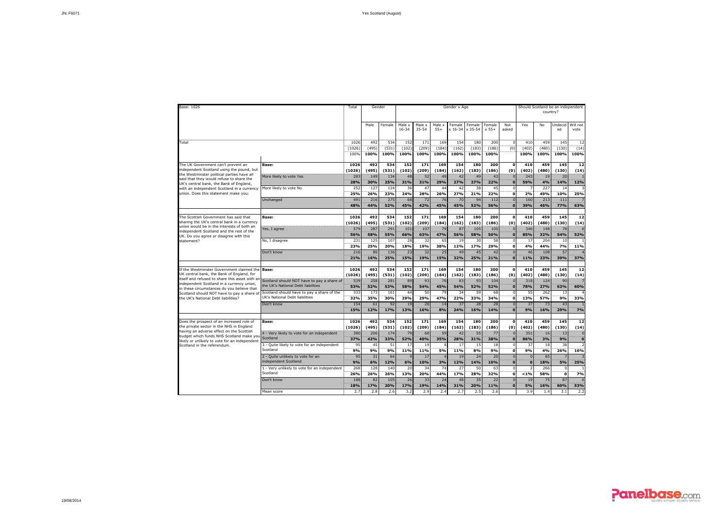| Base: 1026                                                                              |                                              | Total          | Gender       |              |                     |                     |                 | Gender x Age      |                   |                   |                     |                | Should Scotland be an independent<br>country? |               |                  |
|-----------------------------------------------------------------------------------------|----------------------------------------------|----------------|--------------|--------------|---------------------|---------------------|-----------------|-------------------|-------------------|-------------------|---------------------|----------------|-----------------------------------------------|---------------|------------------|
|                                                                                         |                                              |                | Male         | Female       | Male x<br>$16 - 34$ | Male x<br>$35 - 54$ | Male x<br>$55+$ | Female<br>x 16-34 | Female<br>x 35-54 | Female<br>$x 55+$ | Not<br>asked        | Yes            | No                                            | Undecid<br>ed | Will not<br>vote |
| Total                                                                                   |                                              | 1026           | 492          | 534          | 152                 | 171                 | 169             | 154               | 180               | 200               | $\Omega$            | 410            | 459                                           | 145           | 12               |
|                                                                                         |                                              | (1026)         | (495)        | (531)        | (102)               | (209)               | (184)           | (162)             | (183)             | (186)             | $\overline{(0)}$    | (402)          | (480)                                         | (130)         | (14)             |
|                                                                                         |                                              | 100%           | 100%         | 100%         | 100%                | 100%                | 100%            | 100%              | 100%              | 100%              |                     | 100%           | 100%                                          | 100%          | 100%             |
| The UK Government can't prevent an                                                      | Base:                                        | 1026           | 492          | 534          | 152                 | 171                 | 169             | 154               | 180               | 200               | $\Omega$            | 410            | 459                                           | 145           | 12               |
| independent Scotland using the pound, but                                               |                                              | (1026)         | (495)        | (531)        | (102)               | (209)               | (184)           | (162)             | (183)             | (186)             | (0)                 | (402)          | (480)                                         | (130)         | (14)             |
| the Westminster political parties have all                                              | More likely to vote Yes                      | 283            | 149          | 134          | 48                  | 52                  | 49              | 42                | 49                | 43                | $\Omega$            | 243            | 19                                            | 20            |                  |
| said that they would refuse to share the<br>UK's central bank, the Bank of England,     |                                              | 28%            | 30%          | 25%          | 31%                 | 31%                 | 29%             | <b>27%</b>        | 27%               | 22%               | $\mathbf{o}$        | 59%            | 4%                                            | 14%           | 12%              |
| with an independent Scotland in a currency                                              | More likely to vote No                       | 252            | 127          | 124          | 36                  | 47                  | 44              | 42                | 38                | 45                | $\Omega$            | 7              | 227                                           | 14            |                  |
| union. Does this statement make you:                                                    |                                              | 25%            | 26%          | 23%          | 24%                 | 28%                 | 26%             | 27%               | 21%               | 22%               | $\mathbf{o}$        | 2%             | 49%                                           | 10%           | 25%              |
|                                                                                         | Unchanged                                    | 491            | 216          | 275          | 68                  | 72                  | 76              | 70                | 94                | 112               |                     | 160            | 213                                           | 111           |                  |
|                                                                                         |                                              | <b>48%</b>     | 44%          | 52%          | 45%                 | 42%                 | 45%             | 45%               | 52%               | 56%               | $\mathbf{o}$        | 39%            | 46%                                           | 77%           | 63%              |
| The Scottish Government has said that                                                   | Base:                                        | 1026           | 492          | 534          | 152                 | 171                 | 169             | 154               | 180               | 200               | $\mathbf 0$         | 410            | 459                                           | 145           | 12               |
| sharing the UK's central bank in a currency                                             |                                              | (1026)         | (495)        | (531)        | (102)               | (209)               | (184)           | (162)             | (183)             | (186)             | (0)                 | (402)          | (480)                                         | (130)         | (14)             |
| union would be in the interests of both an                                              | Yes, I agree                                 | 579            | 287          | 291          | 101                 | 107                 | 79              | 87                | 105               | 100               | $\Omega$            | 346            | 148                                           | 78            |                  |
| independent Scotland and the rest of the<br>UK. Do you agree or disagree with this      |                                              | 56%            | 58%          | 55%          | 66%                 | 63%                 | 47%             | 56%               | 58%               | 50%               | $\bullet$           | 85%            | 32%                                           | 54%           | 52%              |
| statement?                                                                              | No, I disagree                               | 231            | 125          | 107          | 28                  | 32                  | 65              | 19                | 30                | 58                | $\Omega$            | 17             | 204                                           | 10            |                  |
|                                                                                         |                                              | 23%            | 25%          | 20%          | 18%                 | 19%                 | 38%             | 12%               | 17%               | 29%               | $\mathbf{o}$        | 4%             | 44%                                           | 7%            | 11%              |
|                                                                                         | Don't know                                   | 216            | 80           | 136          | 23                  | 32                  | 25              | 49                | 45                | 42                | $\Omega$            | 46             | 108                                           | 57            |                  |
|                                                                                         |                                              | 21%            | 16%          | 25%          | 15%                 | 19%                 | 15%             | 32%               | 25%               | 21%               | $\mathbf{o}$        | 11%            | 23%                                           | 39%           | 37%              |
| If the Westminster Government claimed the                                               | <b>Base:</b>                                 | 1026           | 492          | 534          | 152                 | 171                 | 169             | 154               | 180               | 200               | $\mathbf{o}$        | 410            | 459                                           | 145           | 12               |
| UK central bank, the Bank of England, for                                               |                                              | (1026)         | (495)        | (531)        | (102)               | (209)               | (184)           | (162)             | (183)             | (186)             | (0)                 | (402)          | (480)                                         | (130)         | (14)             |
| itself and refused to share this asset with ar                                          | Scotland should NOT have to pay a share of   | 539            | 258          | 281          | 89                  | 93                  | 76              | 83                | 93                | 104               | $\Omega$            | 318            | 124                                           | 90            |                  |
| independent Scotland in a currency union,<br>in these circumstances do you believe that | the UK's National Debt liabilities           | <b>53%</b>     | 52%          | 53%          | 58%                 | 54%                 | 45%             | <b>54%</b>        | 52%               | 52%               | Ô.                  | 78%            | 27%                                           | 62%           | 60%              |
| Scotland should NOT have to pay a share of                                              | Scotland should have to pay a share of the   | 333            | 173          | 161          | 44                  | 50                  | 79              | 34                | 59                | 68                | $\Omega$            | 55             | 262                                           | 13            |                  |
| the UK's National Debt liabilities?                                                     | UK's National Debt liabilities               | 32%            | 35%          | 30%          | 29%                 | 29%                 | 47%             | 22%               | 33%               | 34%               | 0                   | 13%            | 57%                                           | 9%            | 33%              |
|                                                                                         | Don't know                                   | 154            | 61           | 92           | 19                  | 28                  | 14              | 37                | 28                | 28                | $\Omega$            | 37             | 73                                            | 43            |                  |
|                                                                                         |                                              | 15%            | 12%          | 17%          | 13%                 | 16%                 | 8%              | 24%               | 16%               | 14%               | $\overline{0}$      | 9%             | 16%                                           | 29%           | 7%               |
|                                                                                         |                                              |                |              |              |                     |                     |                 |                   |                   |                   |                     |                |                                               |               |                  |
| Does the prospect of an increased role of<br>the private sector in the NHS in England   | Base:                                        | 1026<br>(1026) | 492<br>(495) | 534<br>(531) | 152<br>(102)        | 171<br>(209)        | 169<br>(184)    | 154<br>(162)      | 180<br>(183)      | 200<br>(186)      | $\mathbf{o}$<br>(0) | 410<br>(402)   | 459<br>(480)                                  | 145<br>(130)  | 12<br>(14)       |
| having an adverse effect on the Scottish                                                | 4 - Very likely to vote for an independent   | 380            | 206          | 174          | 79                  | 68                  | 59              | 42                | 55                | 77                |                     | 351            | 16                                            | 13            | $\Omega$         |
| budget which funds NHS Scotland make yo                                                 | Scotland                                     | 37%            | 42%          | 33%          | 52%                 | 40%                 | 35%             | 28%               | 31%               | 38%               | $\Omega$            | 86%            | 3%                                            | 9%            | $\mathbf{o}$     |
| likely or unlikely to vote for an independent<br>Scotland in the referendum.            | 3 - Quite likely to vote for an independent  | 95             | 45           | 51           | 17                  | 19                  |                 | 17                | 15                | 18                | $\Omega$            | 37             | 18                                            | 38            |                  |
|                                                                                         | Scotland                                     | 9%             | 9%           | 9%           | 11%                 | 11%                 | 5%              | 11%               | 8%                | 9%                | ö                   | 9%             | 4%                                            | 26%           | 16%              |
|                                                                                         | 2 - Quite unlikely to vote for an            | 95             | 31           | 64           |                     | 17                  |                 | 19                | 24                | 20                | $\Omega$            | $\Omega$       | 85                                            |               |                  |
|                                                                                         | independent Scotland                         | 9%             | 6%           | 12%          | 6%                  | 10%                 | 3%              | 12%               | 14%               | 10%               | $\mathbf{o}$        | $\overline{0}$ | 18%                                           | 5%            | 25%              |
|                                                                                         | 1 - Very unlikely to vote for an independent | 268            | 128          | 140          | 20                  | 34                  | 74              | 27                | 50                | 63                | $\Omega$            | $\overline{2}$ | 266                                           |               |                  |
|                                                                                         | Scotland                                     | 26%            | 26%          | 26%          | 13%                 | 20%                 | 44%             | 17%               | 28%               | 32%               | o                   | < 1%           | 58%                                           | $\mathbf{o}$  | 7%               |
|                                                                                         | Don't know                                   | 188<br>18%     | 82<br>17%    | 105<br>20%   | 26<br>17%           | 33<br>19%           | 24<br>14%       | 48<br>31%         | 35<br>20%         | 22<br>11%         | $\mathbf{0}$        | 19<br>5%       | 75<br>16%                                     | 87<br>60%     | 53%              |
|                                                                                         | Mean score                                   | 2.7            | 2.8          | 2.6          | 3.2                 | 7.9                 | 2.4             | 2.7               | 2.5               | 2.6               |                     | 3.9            | 1.4                                           | 3.1           | 2.2              |
|                                                                                         |                                              |                |              |              |                     |                     |                 |                   |                   |                   |                     |                |                                               |               |                  |

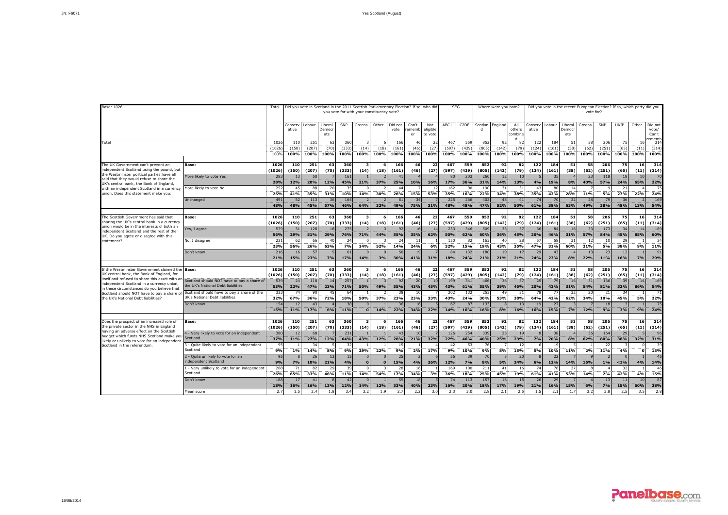

| Base: 1026                                                                                                                                                                            |                                                                                                                   | Total                            |                      |                     | Did you vote in Scotland in the 2011 Scottish Parliamentary Election? If so, who did |                      |                                 | you vote for with your constituency vote? |                      |                      |                            | <b>SEG</b>           |                               |                         | Where were you born?  |                              |                      |                      |                          | vote for?          |                      | Did you vote in the recent European Election? If so, which party did you |                    |                                         |
|---------------------------------------------------------------------------------------------------------------------------------------------------------------------------------------|-------------------------------------------------------------------------------------------------------------------|----------------------------------|----------------------|---------------------|--------------------------------------------------------------------------------------|----------------------|---------------------------------|-------------------------------------------|----------------------|----------------------|----------------------------|----------------------|-------------------------------|-------------------------|-----------------------|------------------------------|----------------------|----------------------|--------------------------|--------------------|----------------------|--------------------------------------------------------------------------|--------------------|-----------------------------------------|
|                                                                                                                                                                                       |                                                                                                                   |                                  | Conserv<br>ative     | Labour              | Liberal<br>Democi<br>ats                                                             | SNP                  | Greens                          | Other                                     | Did not<br>vote      | Can't<br>ememl<br>er | Not<br>eligible<br>to vote | ABC1                 | C <sub>2</sub> DE             | Scotlan<br>$\mathsf{d}$ | England               | All<br>others<br>combin      | Conserv<br>ative     | Labour               | Liberal<br>Democr<br>ats | Greens             | SNP                  | UKIP                                                                     | Other              | Did not<br>vote/<br>Can't<br>$n \alpha$ |
| Total                                                                                                                                                                                 |                                                                                                                   | 102<br>(1026<br>100 <sup>o</sup> | 110<br>(150)<br>100% | 251<br>(207<br>100% | 63<br>(70)<br>100%                                                                   | 360<br>(333)<br>100% | (14)<br>100%                    | (18)<br>100%                              | 166<br>(161)<br>100% | 46<br>(46)<br>100%   | 22<br>(27)<br>100%         | 467<br>(597)<br>100% | 559<br>(429<br>100%           | 852<br>(805)<br>100%    | 92<br>(142)<br>100%   | $\mathbf{R}$<br>(79)<br>100% | 122<br>(124)<br>100% | 184<br>(161)<br>100% | 51<br>(38)<br>100%       | 58<br>(62)<br>100% | 206<br>(251)<br>100% | 75<br>(65)<br>100%                                                       | 16<br>(11)<br>100% | 31 <sup>°</sup><br>(314)<br>100%        |
| The UK Government can't prevent an<br>independent Scotland using the pound, but                                                                                                       | Base:                                                                                                             | 1026<br>(1026)                   | <b>110</b><br>(150)  | 251<br>(207)        | 63<br>(70)                                                                           | 360<br>(333)         | $\overline{\mathbf{3}}$<br>(14) | 6<br>(18)                                 | 166<br>(161)         | 46<br>(46)           | 22<br>(27)                 | 467<br>(597)         | 559<br>(429)                  | 852<br>(805)            | 92<br>(142)           | 82<br>(79)                   | 122<br>(124)         | 184<br>(161)         | 51<br>(38)               | 58<br>(62)         | 206<br>(251)         | 75<br>(65)                                                               | 16<br>(11)         | 314<br>(314)                            |
| the Westminster political parties have all<br>said that they would refuse to share the<br>UK's central bank, the Bank of England,                                                     | More likely to vote Yes                                                                                           | 283<br>28%                       | 13<br>12%            | 50<br>20%           | 12%                                                                                  | 161<br>45%           | 21%                             | 37%                                       | 41<br>25%            | 10%                  | 16%                        | 80<br>17%            | 203<br>36%                    | 260<br>31%              | 12<br>14%             | 13%                          | 4%                   | 35<br>19%            | 8%                       | 23<br>40%          | 118<br>57%           | 18<br>24%                                                                | 10<br>65%          | 70<br>22%                               |
| with an independent Scotland in a currency<br>union. Does this statement make you:                                                                                                    | More likely to vote No<br>Unchanged                                                                               | 25<br>25%<br>49 <sup>2</sup>     | 45<br>41%<br>52      | 88<br>35%<br>113    | 20<br>31%<br>36                                                                      | 35<br>10%<br>164     | 14%                             | 30%                                       | 44<br>26%<br>81      | 15%<br>34            | -12<br>53%                 | 162<br>35%<br>22!    | $\mathbf{Q}$<br>16%<br>266    | 190<br>22%<br>402       | 31<br>34%<br>$\Delta$ | 31<br>38%<br>$\Delta$        | 43<br>35%<br>74      | 80<br>43%<br>70      | 14<br>28%<br>32          | 11%<br>28          | 5%<br>79             | 21<br>27%<br>36                                                          | 22%                | 7'<br>24%<br>169                        |
|                                                                                                                                                                                       |                                                                                                                   | 48%                              | 48%                  | 45%                 | 57%                                                                                  | 46%                  | 64%                             | 32%                                       | 49%                  | 75%                  | 31%                        | 48%                  | 48%                           | 47%                     | 52%                   | 50%                          | 61%                  | 38%                  | 63%                      | 49%                | 38%                  | 48%                                                                      | 13%                | 54%                                     |
| The Scottish Government has said that<br>sharing the UK's central bank in a currency<br>union would be in the interests of both an                                                    | Base:                                                                                                             | 1026<br>(1026)                   | 110<br>(150)         | 251<br>(207)        | 63<br>(70)                                                                           | 360<br>(333)         | $\overline{\mathbf{3}}$<br>(14) | (18)                                      | 166<br>(161)         | 46<br>(46)           | 22<br>(27)                 | 467<br>(597)         | 559<br>(429)                  | 852<br>(805)            | 92<br>(142)           | 82<br>(79)                   | 122<br>(124)         | 184<br>(161)         | 51<br>(38)               | 58<br>(62)         | 206<br>(251)         | 75<br>(65)                                                               | 16<br>(11)         | 314<br>(314)                            |
| independent Scotland and the rest of the<br>UK. Do you agree or disagree with this                                                                                                    | es, I agree<br>No. I disagree                                                                                     | 579<br>56%<br>23                 | 31<br>29%<br>62      | 128<br>51%<br>66    | 18<br>29%<br>40                                                                      | 275<br>76%<br>24     | 71%                             | 44%                                       | 92<br>55%<br>24      | 16<br>35%<br>11      | 14<br>62%                  | 233<br>50%<br>150    | 346<br>62%<br>82              | 509<br>60%<br>163       | 33<br>36%<br>40       | $\overline{3}$<br>45%        | 36<br>30%<br>57      | 84<br>46%<br>58      | 16<br>31%<br>3           | 33<br>57%<br>12    | 173<br>84%<br>10     | 34<br>45%<br>29                                                          | 14<br>85%          | 189<br>60%<br>34                        |
| statement?                                                                                                                                                                            | Don't know                                                                                                        | 23%<br>21(                       | 56%<br>16            | 26%<br>57           | 63%                                                                                  | 7%<br>61             | 14%                             | 52%                                       | 14%<br>50            | 24%<br>19            | 6%                         | 32%                  | 15%<br>132                    | 19%<br>180              | 43%<br>19             | 35%                          | 47%<br>29            | 31%<br>43            | 60%                      | 21%<br>13          | 5%<br>23             | 38%<br>12                                                                | 9%                 | 11%<br>91                               |
|                                                                                                                                                                                       |                                                                                                                   | 21%                              | 15%                  | 23%                 | 7%                                                                                   | 17%                  | 14%                             | 3%                                        | 30%                  | 41%                  | 31%                        | 18%                  | 24%                           | 21%                     | 21%                   | 21%                          | 24%                  | 23%                  | 8%                       | 22%                | 11%                  | 16%                                                                      | 7%                 | 29%                                     |
| If the Westminster Government claimed the<br>UK central bank, the Bank of England, for<br>itself and refused to share this asset with ar<br>independent Scotland in a currency union, | <b>Base:</b><br>Scotland should NOT have to pay a share of                                                        | 1026<br>(1026)<br>539            | 110<br>(150)<br>24   | 251<br>(207)<br>118 | 63<br>(70)<br>14                                                                     | 360<br>(333)<br>257  | 3<br>(14)                       | 6<br>(18)                                 | 166<br>(161)<br>92   | 46<br>(46)<br>20     | 22<br>(27)<br>10           | 467<br>(597)<br>199  | 559<br>(429)<br>341           | 852<br>(805)<br>466     | 92<br>(142)<br>36     | 82<br>(79)<br>$\overline{3}$ | 122<br>(124)<br>25   | 184<br>(161)<br>79   | 51<br>(38)<br>16         | 58<br>(62)<br>31   | 206<br>(251)<br>166  | 75<br>(65)<br>39                                                         | 16<br>(11)<br>14   | 314<br>(314)<br>169                     |
| in these circumstances do you believe that<br>Scotland should NOT have to pay a share of<br>the UK's National Debt liabilities?                                                       | he UK's National Debt liabilities<br>Scotland should have to pay a share of the<br>UK's National Debt liabilities | 53%<br>33 <sub>1</sub><br>32%    | 22%<br>74<br>67%     | 47%<br>90<br>36%    | 23%<br>45<br>72%                                                                     | 71%<br>64<br>18%     | 50%<br>50%                      | 49%<br>37%                                | 55%<br>38<br>23%     | 43%<br>10<br>23%     | 45%<br>33%                 | 43%<br>202<br>43%    | 61%<br>132<br>24%             | 55%<br>253<br>30%       | 39%<br>49<br>53%      | 46%<br>-31<br>38%            | 20%<br>78<br>64%     | 43%<br>77<br>42%     | 31%<br>32<br>62%         | 54%<br>20<br>34%   | 81%<br>21<br>10%     | 52%<br>34<br>45%                                                         | 86%<br>5%          | 54%<br>$\overline{7}$<br>22%            |
|                                                                                                                                                                                       | Don't know                                                                                                        | 154<br>15%                       | 12<br>11%            | 43<br>17%           | 6%                                                                                   | 38<br>11%            | $\Omega$                        | 14%                                       | 36<br>22%            | 16<br>34%            | 22%                        | $6^{\circ}$<br>14%   | 87<br>16%                     | 133<br>16%              | 8%                    | 16%                          | 19<br>16%            | 27<br>15%            | 7%                       | 12%                | 18<br>9%             | 3%                                                                       | 9%                 | 75<br>24%                               |
| Does the prospect of an increased role of<br>the private sector in the NHS in England                                                                                                 | Base:                                                                                                             | 1026<br>(1026)                   | 110<br>(150)         | 251<br>(207)        | 63<br>(70)                                                                           | 360<br>(333)         | 3<br>(14)                       | 6<br>(18)                                 | 166<br>(161)         | 46<br>(46)           | 22<br>(27)                 | 467<br>(597)         | 559<br>(429)                  | 852<br>(805)            | 92<br>(142)           | 82<br>(79)                   | 122<br>(124)         | 184<br>(161)         | 51<br>(38)               | 58<br>(62)         | 206<br>(251)         | 75<br>(65)                                                               | 16<br>(11)         | 314<br>(314)                            |
| having an adverse effect on the Scottish<br>budget which funds NHS Scotland make you<br>likely or unlikely to vote for an independent                                                 | 4 - Very likely to vote for an independent<br>Scotland                                                            | 380<br>37%                       | 12<br>11%            | 68<br>27%<br>34     | 12%                                                                                  | 231<br>64%           | 43%                             | 12%                                       | 43<br>26%            | 10<br>21%            | 32%                        | 126<br>27%<br>42     | 254<br>46%                    | 339<br>40%<br>76        | 23<br>25%             | 23%                          | 7%                   | 38<br>20%<br>19      | 8%                       | 36<br>62%          | 164<br>80%<br>22     | 29<br>38%                                                                | 32%                | 96<br>31%<br>39                         |
| Scotland in the referendum.                                                                                                                                                           | 3 - Quite likely to vote for an independent<br>Scotland<br>2 - Quite unlikely to vote for an                      | 95<br>9%<br>95                   | $1\%$                | 14%<br>26           | 8%<br>13                                                                             | 32<br>9%<br>15       | 29%<br>$\Omega$                 | 22%                                       | 15<br>9%<br>25       | 2%                   | 17%                        | 9%<br>56             | 53<br>10%<br>39               | 9%<br>70                | 8%                    | 12<br>15%<br>$\overline{2}$  | 5%                   | 10%<br>22            | 11%                      | 2%                 | 11%                  | 4%                                                                       | n<br>$\Omega$      | 13%<br>45                               |
|                                                                                                                                                                                       | independent Scotland<br>L - Very unlikely to vote for an independent                                              | 9%<br>26                         | 7%<br>71             | 10%<br>82           | 21%<br>29                                                                            | 4%<br>39             | $\Omega$<br>$\Omega$            | n                                         | 15%<br>28            | 4%<br>16             | 26%                        | 12%<br>169           | 7%<br>100                     | 8%<br>211               | 5%<br>41              | 24%<br>16                    | 6%<br>74             | 12%<br>76            | 14%<br>27                | 16%                | 1%                   | < 1%<br>32                                                               | 4%                 | 14%<br>46                               |
|                                                                                                                                                                                       | Scotland<br>Don't know                                                                                            | 26%<br>188<br>18%                | 65%<br>17<br>16%     | 33%<br>41<br>16%    | 46%<br>13%                                                                           | 11%<br>42<br>12%     | 14%<br>14%                      | 54%<br>12%                                | 17%<br>55<br>33%     | 34%<br>18<br>40%     | 3%<br>23%                  | 36%<br>74<br>16%     | 18%<br>11 <sup>3</sup><br>20% | 25%<br>157<br>18%       | 45%<br>16<br>17%      | 19%<br>19%                   | 61%<br>26<br>21%     | 41%<br>29<br>16%     | 53%<br>15%               | 14%<br>6%          | 2%<br>13<br>7%       | 42%<br>11<br>15%                                                         | 4%<br>10<br>60%    | 15%<br>87<br>28%                        |
|                                                                                                                                                                                       | Mean score                                                                                                        | 2.7                              | 1.5                  | 2.4                 | 1.8                                                                                  | 3.4                  | 3.2                             | 1.9                                       | 2.7                  | 2.2                  | 3.0                        | 2.3                  | 3.0                           | 2.8                     | 2.1                   | 2.5                          | 1.5                  | 2.1                  | 1.7                      | 3.2                | 3.8                  | 2.5                                                                      | 3.5                | 2.8                                     |

19/08/2014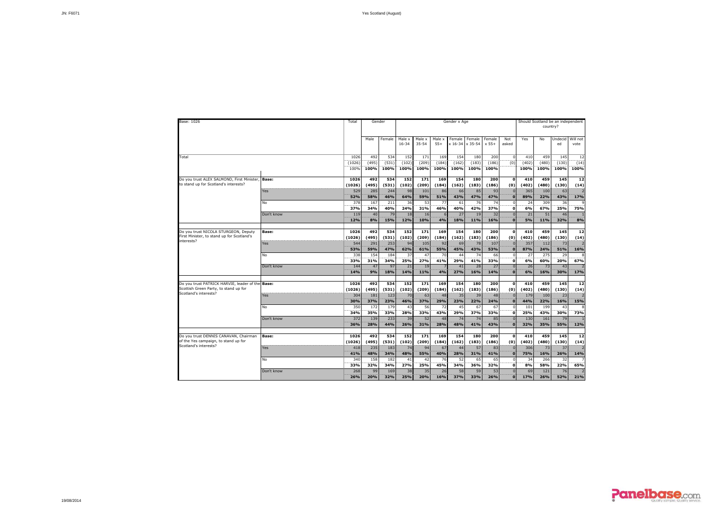| Base: 1026                                                                                | Total                  | Gender               |                      |                      |                      |                      | Gender x Age              |                      |                      |                          |                      | country?             | Should Scotland be an independent |                    |
|-------------------------------------------------------------------------------------------|------------------------|----------------------|----------------------|----------------------|----------------------|----------------------|---------------------------|----------------------|----------------------|--------------------------|----------------------|----------------------|-----------------------------------|--------------------|
|                                                                                           |                        | Male                 | Female               | Male x<br>$16 - 34$  | Male x<br>$35 - 54$  | Male x<br>$55+$      | Female<br>x 16-34 x 35-54 | Female               | Female<br>$x 55+$    | Not<br>asked             | Yes                  | No                   | Undecid<br>ed                     | Will not<br>vote   |
| Total                                                                                     | 1026<br>(1026)<br>100% | 492<br>(495)<br>100% | 534<br>(531)<br>100% | 152<br>(102)<br>100% | 171<br>(209)<br>100% | 169<br>(184)<br>100% | 154<br>(162)<br>100%      | 180<br>(183)<br>100% | 200<br>(186)<br>100% | 0<br>$\overline{(0)}$    | 410<br>(402)<br>100% | 459<br>(480)<br>100% | 145<br>(130)<br>100%              | 12<br>(14)<br>100% |
| Do vou trust ALEX SALMOND, First Minister,<br><b>Base:</b>                                | 1026                   | 492                  | 534                  | 152                  | 171                  | 169                  | 154                       | 180                  | 200                  | $\mathbf 0$              | 410                  | 459                  | 145                               | 12                 |
| to stand up for Scotland's interests?<br>Yes                                              | (1026)<br>529          | (495)<br>285         | (531)<br>244         | (102)<br>98          | (209)<br>101         | (184)<br>86          | (162)<br>66               | (183)<br>85          | (186)<br>93          | (0)                      | (402)<br>365         | (480)<br>100         | (130)<br>63                       | (14)               |
| No                                                                                        | 52%<br>378             | 58%<br>167           | 46%<br>211           | 64%<br>36            | 59%<br>53            | 51%<br>77            | 43%<br>61                 | 47%<br>76            | 47%<br>74            | $\Omega$<br>$\Omega$     | 89%<br>24            | 22%<br>309           | 43%<br>36                         | 17%                |
|                                                                                           | 37%                    | 34%                  | 40%                  | 24%                  | 31%                  | 46%                  | 40%                       | 42%                  | 37%                  | $\mathbf{0}$             | 6%                   | 67%                  | 25%                               | 75%                |
| Don't know                                                                                | 119<br>12%             | 40<br>8%             | 79<br>15%            | 18<br>12%            | 16<br>10%            | 6<br>4%              | 27<br>18%                 | 19<br>11%            | 32<br>16%            | $\Omega$<br>$\mathbf{0}$ | 21<br>5%             | 51<br>11%            | 46<br>32%                         | 8%                 |
| Do you trust NICOLA STURGEON, Deputy<br>Base:                                             | 1026                   | 492                  | 534                  | 152                  | 171                  | 169                  | 154                       | 180                  | 200                  | $\Omega$                 | 410                  | 459                  | 145                               | 12                 |
| First Minister, to stand up for Scotland's<br>interests?<br>Yes                           | (1026)<br>544          | (495)<br>291         | (531)<br>253         | (102)<br>94          | (209)<br>105         | (184)<br>92          | (162)<br>69               | (183)<br>78          | (186)<br>107         | (0)                      | (402)<br>357         | (480)<br>112         | (130)<br>73                       | (14)               |
| <b>No</b>                                                                                 | 53%<br>338             | 59%<br>154           | 47%<br>184           | 62%<br>37            | 61%<br>47            | 55%<br>70            | 45%<br>44                 | 43%<br>74            | 53%<br>66            | $\Omega$                 | 87%<br>27            | 24%<br>275           | 51%<br>29                         | 16%                |
|                                                                                           | 33%                    | 31%                  | 34%                  | 25%                  | 27%                  | 41%                  | 29%                       | 41%                  | 33%                  | $\Omega$                 | 6%                   | 60%                  | 20%                               | 67%                |
| Don't know                                                                                | 144<br>14%             | 47<br>9%             | 97<br>18%            | 21<br>14%            | 19<br>11%            | -7<br>4%             | 41<br>27%                 | 28<br>16%            | 27<br>14%            | $\Omega$<br>$\Omega$     | 26<br>6%             | 73<br>16%            | 43<br>30%                         | 17%                |
|                                                                                           |                        |                      |                      |                      |                      |                      |                           |                      |                      |                          |                      |                      |                                   |                    |
| Do you trust PATRICK HARVIE, leader of the Base:<br>Scottish Green Party, to stand up for | 1026<br>(1026)         | 492<br>(495)         | 534<br>(531)         | 152<br>(102)         | 171<br>(209)         | 169<br>(184)         | 154<br>(162)              | 180<br>(183)         | 200<br>(186)         | $\mathbf{o}$<br>(0)      | 410<br>(402)         | 459<br>(480)         | 145<br>(130)                      | 12<br>(14)         |
| Scotland's interests?<br><b>Yes</b>                                                       | 304<br>30%             | 181<br>37%           | 123<br>23%           | 70<br>46%            | 63<br>37%            | 48<br>29%            | 35<br>23%                 | 39<br>22%            | 48<br>24%            | $\Omega$<br>$\Omega$     | 179<br>44%           | 100<br>22%           | 23<br>16%                         | 15%                |
| No                                                                                        | 350                    | 172                  | 179                  | 43                   | 56                   | 72                   | 45                        | 67<br>37%            | 67<br>33%            | $\Omega$                 | 101                  | 199<br>43%           | 43<br>30%                         | 73%                |
| Don't know                                                                                | 34%<br>372             | 35%<br>139           | 33%<br>233           | 28%<br>39            | 33%<br>52            | 43%<br>48            | 29%<br>74                 | 74                   | 85                   | $\Omega$                 | 25%<br>130           | 161                  | 79                                |                    |
|                                                                                           | 36%                    | 28%                  | 44%                  | 26%                  | 31%                  | 28%                  | 48%                       | 41%                  | 43%                  | $\Omega$                 | 32%                  | 35%                  | 55%                               | 12%                |
| Do you trust DENNIS CANAVAN, Chairman<br><b>Base:</b>                                     | 1026                   | 492                  | 534                  | 152                  | 171                  | 169                  | 154                       | 180                  | 200                  | $\Omega$                 | 410                  | 459                  | 145                               | 12                 |
| of the Yes campaign, to stand up for<br>Scotland's interests?                             | (1026)                 | (495)                | (531)                | (102)                | (209)                | (184)                | (162)                     | (183)                | (186)                | (0)                      | (402)                | (480)                | (130)                             | (14)               |
| Yes                                                                                       | 418<br>41%             | 235<br>48%           | 183<br>34%           | 74<br>48%            | 94<br>55%            | 67<br>40%            | 44<br>28%                 | 57<br>31%            | 83<br>41%            | $\mathbf{0}$             | 306<br>75%           | 73<br>16%            | 37<br>26%                         | 14%                |
| No                                                                                        | 340<br>33%             | 158<br>32%           | 182<br>34%           | 41<br>27%            | 42<br>25%            | 76<br>45%            | 52<br>34%                 | 65<br>36%            | 65<br>32%            | $\mathbf{0}$             | 34<br>8%             | 266<br>58%           | 32<br>22%                         | 65%                |
| Don't know                                                                                | 268<br>26%             | 99<br>20%            | 169<br>32%           | 38<br>25%            | 35<br>20%            | 26<br>16%            | 58<br>37%                 | 59<br>33%            | 53<br>26%            | $\Omega$<br>$\mathbf{0}$ | 69<br>17%            | 121<br>26%           | 76<br>52%                         | 21%                |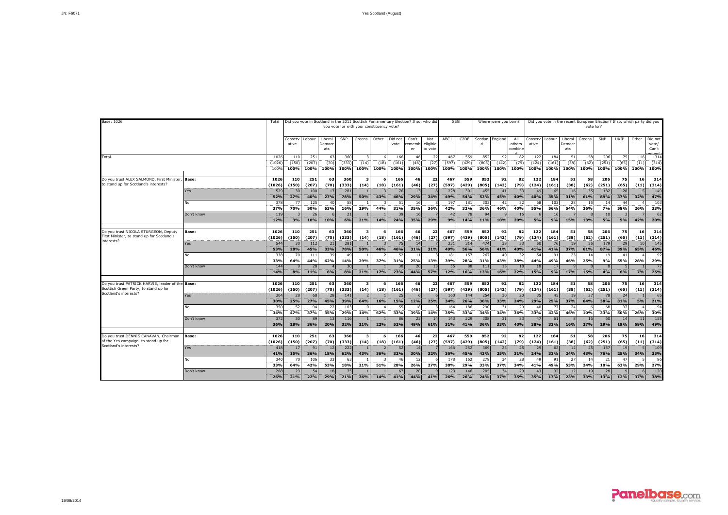| Base: 1026                                                                                             |                            | Total                        |                           |                              |                          | Did you vote in Scotland in the 2011 Scottish Parliamentary Election? If so, who did<br>vou vote for with your constituency vote? |                                        |              |                           |                         |                              |                            | <b>SEG</b>                 |                            | Where were you born?     |                          |                                       |                           | Did you vote in the recent European Election? If so, which party did you |                                    | vote for?                  |                         |                    |                                    |
|--------------------------------------------------------------------------------------------------------|----------------------------|------------------------------|---------------------------|------------------------------|--------------------------|-----------------------------------------------------------------------------------------------------------------------------------|----------------------------------------|--------------|---------------------------|-------------------------|------------------------------|----------------------------|----------------------------|----------------------------|--------------------------|--------------------------|---------------------------------------|---------------------------|--------------------------------------------------------------------------|------------------------------------|----------------------------|-------------------------|--------------------|------------------------------------|
|                                                                                                        |                            |                              | Conser<br>ative           | Labour                       | Liberal<br>Democr<br>ats | SNP                                                                                                                               | Greens                                 | Other        | Did not<br>vote           | Can't<br>rememb<br>er   | Not<br>eligible<br>to vote   | ABC1                       | C <sub>2</sub> DE          | Scotlan<br>d               | England                  | All<br>others<br>combine | Conserv<br>ative                      | Labour                    | Liberal<br>Democr<br>ats                                                 | Greens                             | SNP                        | UKIP                    | Other              | Did not<br>vote/<br>Can't<br>amaml |
| Total                                                                                                  |                            | 1026<br>(1026)<br>100%       | 110<br>(150)<br>100%      | 251<br>(207)<br>100%         | 63<br>(70)<br>100%       | 360<br>(333)<br>100%                                                                                                              | (14)<br>100%                           | (18)<br>100% | 166<br>(161)<br>100%      | 46<br>(46)<br>100%      | 22<br>(27)<br>100%           | 467<br>(597<br>100%        | 559<br>(429)<br>100%       | 852<br>(805)<br>100%       | 92<br>(142)<br>100%      | 82<br>(79)<br>100%       | 122<br>(124)<br>100%                  | 184<br>(161)<br>100%      | 51<br>(38)<br>100%                                                       | 58<br>(62)<br>100%                 | 206<br>(251)<br>100%       | 75<br>(65)<br>100%      | 16<br>(11)<br>100% | 314<br>(314)<br>100%               |
| Do you trust ALEX SALMOND, First Minister,<br>to stand up for Scotland's interests?                    | <b>Base:</b><br>Yes        | 1026<br>(1026)<br>529<br>52% | 110<br>(150)<br>30<br>27% | 251<br>(207)<br>100<br>40%   | 63<br>(70)<br>17<br>27%  | 360<br>(333)<br>281<br>78%                                                                                                        | $\overline{\mathbf{3}}$<br>(14)<br>50% | (18)<br>43%  | 166<br>(161)<br>76<br>46% | 46<br>(46)<br>13<br>29% | 22<br>(27)<br>34%            | 467<br>(597)<br>228<br>49% | 559<br>(429)<br>301<br>54% | 852<br>(805)<br>455<br>53% | 92<br>(142)<br>41<br>45% | 82<br>(79)<br>33<br>40%  | 122<br>(124)<br>49<br>40%             | 184<br>(161)<br>65<br>35% | 51<br>(38)<br>16<br>31%                                                  | 58<br>(62)<br>35<br>61%            | 206<br>(251)<br>182<br>89% | 75<br>(65)<br>28<br>37% | 16<br>(11)<br>32%  | 314<br>(314)<br>149<br>47%         |
|                                                                                                        | <b>No</b><br>Don't know    | 378<br>37%<br>119<br>12%     | 77<br>70%<br>3%           | 125<br>50%<br>26<br>10%      | 40<br>63%<br>10%         | 58<br>16%<br>21<br>6%                                                                                                             | 29%<br>21%                             | 44%<br>14%   | 51<br>31%<br>39<br>24%    | 16<br>35%<br>16<br>35%  | 36%<br>29%                   | 197<br>42%<br>42<br>9%     | 181<br>32%<br>78<br>14%    | 303<br>36%<br>94<br>11%    | 42<br>46%<br>10%         | 32<br>40%<br>16<br>20%   | 68<br>55%<br>6<br>5%                  | 103<br>56%<br>16<br>9%    | 28<br>54%<br>15%                                                         | 15<br>26%<br>13%                   | 14<br>7%<br>10<br>5%       | 44<br>58%<br>5%         | 26%<br>42%         | 103<br>33%<br>62<br>20%            |
| Do you trust NICOLA STURGEON, Deputy<br>First Minister, to stand up for Scotland's<br>interests?       | Base:<br>Yes               | 1026<br>(1026)<br>544        | 110<br>(150)<br>30        | 251<br>(207)<br>112          | 63<br>(70)<br>21         | 360<br>(333)<br>281                                                                                                               | $\mathbf{3}$<br>(14)                   | 6<br>(18)    | 166<br>(161)<br>75        | 46<br>(46)<br>14        | 22<br>(27)                   | 467<br>(597)<br>231        | 559<br>(429)<br>314        | 852<br>(805)<br>474        | 92<br>(142)<br>38        | 82<br>(79)<br>33         | 122<br>(124)<br>50                    | 184<br>(161)<br>76        | 51<br>(38)<br>19                                                         | 58<br>(62)<br>35                   | 206<br>(251)<br>179        | 75<br>(65)<br>29        | 16<br>(11)<br>10   | 314<br>(314)<br>145                |
|                                                                                                        | No                         | 53%<br>338<br>33%            | 28%<br>70<br>64%          | 45%<br>111<br>44%            | 33%<br>39<br>62%         | 78%<br>49<br>14%                                                                                                                  | 50%<br>29%                             | 46%<br>37%   | 46%<br>52<br>31%          | 31%<br>11<br>25%        | 31%<br>13%                   | 49%<br>181<br>39%          | 56%<br>157<br>28%          | 56%<br>267<br>31%          | 41%<br>40<br>43%         | 40%<br>32<br>38%         | 41%<br>54<br>44%                      | 41%<br>91<br>49%          | 37%<br>23<br>46%                                                         | 61%<br>14<br>25%                   | 87%<br>19<br>9%            | 39%<br>41<br>55%        | 65%<br>28%         | 46%<br>92<br>29%                   |
| Do you trust PATRICK HARVIE, leader of the                                                             | Don't know<br><b>Base:</b> | 144<br>14%<br>1026           | 8%<br>110                 | 28<br>11%<br>251             | 6%<br>63                 | 30<br>8%<br>360                                                                                                                   | 21%<br>$\mathbf{3}$                    | 17%          | 38<br>23%<br>166          | 20<br>44%<br>46         | $-13$<br>57%<br>22           | 55<br>12%<br>467           | 88<br>16%<br>559           | 111<br>13%<br>852          | 15<br>16%<br>92          | 18<br>22%<br>82          | 18<br>15%<br>122                      | 17<br>9%<br>184           | 17%<br>51                                                                | 15%<br>58                          | 4%<br>206                  | 6%<br>75                | 7%<br>16           | 77<br>25%<br>314                   |
| Scottish Green Party, to stand up for<br>Scotland's interests?                                         | <b>Yes</b><br>No           | (1026)<br>304<br>30%<br>350  | (150)<br>28<br>25%<br>52  | (207)<br>68<br>27%<br>94     | (70)<br>28<br>45%<br>22  | (333)<br>141<br>39%<br>103                                                                                                        | (14)<br>64%                            | (18)<br>16%  | (161)<br>25<br>15%<br>55  | (46)<br>12%<br>18       | (27)<br>25%                  | (597)<br>160<br>34%<br>164 | (429)<br>144<br>26%<br>186 | (805)<br>254<br>30%<br>290 | (142)<br>30<br>33%<br>31 | (79)<br>20<br>24%<br>29  | (124)<br>35 <sub>1</sub><br>29%<br>40 | (161)<br>45<br>25%<br>77  | (38)<br>19<br>37%<br>24                                                  | (62)<br>37<br>64%                  | (251)<br>78<br>38%<br>68   | (65)<br>24<br>31%<br>37 | (11)<br>5%         | (314)<br>65<br>21%<br>$Q_{d}$      |
|                                                                                                        | Don't know                 | 34%<br>372<br>36%            | 47%<br>30<br>28%          | 37%<br>8 <sup>c</sup><br>36% | 35%<br>13<br>20%         | 29%<br>116<br>32%                                                                                                                 | 14%<br>21%                             | 62%<br>22%   | 33%<br>86<br>52%          | 39%<br>23<br>49%        | 14%<br>1 <sup>2</sup><br>61% | 35%<br>143<br>31%          | 33%<br>229<br>41%          | 34%<br>308<br>36%          | 34%<br>31<br>33%         | 36%<br>33<br>40%         | 33%<br>47<br>38%                      | 42%<br>61<br>33%          | 46%<br>16%                                                               | 10%<br>16<br>27%                   | 33%<br>60<br>29%           | 50%<br>14<br>19%        | 26%<br>11<br>69%   | 30%<br>155<br>49%                  |
| Do you trust DENNIS CANAVAN, Chairman<br>of the Yes campaign, to stand up for<br>Scotland's interests? | Base:<br>Yes               | 1026<br>(1026)<br>418<br>41% | 110<br>(150)<br>17<br>15% | 251<br>(207)<br>91<br>36%    | 63<br>(70)<br>12<br>18%  | 360<br>(333)<br>222<br>62%                                                                                                        | $\mathbf{3}$<br>(14)<br>43%            | (18)<br>36%  | 166<br>(161)<br>52<br>32% | 46<br>(46)<br>14<br>30% | 22<br>(27)<br>32%            | 467<br>(597)<br>166<br>36% | 559<br>(429)<br>252<br>45% | 852<br>(805)<br>369<br>43% | 92<br>(142)<br>23<br>25% | 82<br>(79)<br>25<br>31%  | 122<br>(124)<br>29<br>24%             | 184<br>(161)<br>62<br>33% | 51<br>(38)<br>12<br>24%                                                  | 58<br>(62)<br>25<br>43%            | 206<br>(251)<br>157<br>76% | 75<br>(65)<br>19<br>25% | 16<br>(11)<br>34%  | 314<br>(314)<br>109<br>35%         |
|                                                                                                        | No<br>Don't know           | 340<br>33%<br>268<br>26%     | 64%<br>23<br>21%          | 106<br>42%<br>54<br>22%      | 33<br>53%<br>18<br>29%   | 63<br>18%<br>75<br>21%                                                                                                            | 21%<br>36%                             | 51%<br>14%   | 46<br>28%<br>67<br>41%    | 12<br>26%<br>20<br>44%  | 27%<br>41%                   | 178<br>38%<br>123<br>26%   | 162<br>29%<br>146<br>26%   | 278<br>33%<br>205<br>24%   | 34<br>37%<br>34<br>37%   | 28<br>34%<br>29<br>35%   | 49<br>41%<br>43<br>35%                | 91<br>49%<br>32<br>17%    | 27<br>53%<br>12<br>23%                                                   | 1 <sup>2</sup><br>24%<br>19<br>33% | 21<br>10%<br>28<br>13%     | 47<br>63%<br>12%        | 29%<br>37%         | 86<br>27%<br>120<br>38%            |

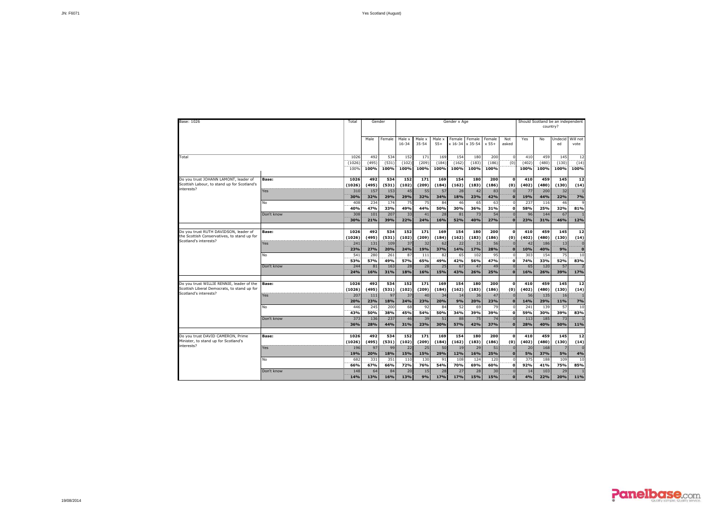| Base: 1026                                                                                                        |              | Total                  | Gender               |                      |                      |                      |                      | Gender x Age              |                      |                      |                          |                      | country?             | Should Scotland be an independent |                      |
|-------------------------------------------------------------------------------------------------------------------|--------------|------------------------|----------------------|----------------------|----------------------|----------------------|----------------------|---------------------------|----------------------|----------------------|--------------------------|----------------------|----------------------|-----------------------------------|----------------------|
|                                                                                                                   |              |                        | Male                 | Female               | Male x<br>$16 - 34$  | Male x<br>$35 - 54$  | Male x<br>$55+$      | Female<br>x 16-34 x 35-54 | Female               | Female<br>$x 55+$    | Not<br>asked             | Yes                  | No                   | Undecid<br>ed                     | Will not<br>vote     |
| Total                                                                                                             |              | 1026<br>(1026)<br>100% | 492<br>(495)<br>100% | 534<br>(531)<br>100% | 152<br>(102)<br>100% | 171<br>(209)<br>100% | 169<br>(184)<br>100% | 154<br>(162)<br>100%      | 180<br>(183)<br>100% | 200<br>(186)<br>100% | 0<br>$\overline{(0)}$    | 410<br>(402)<br>100% | 459<br>(480)<br>100% | 145<br>(130)<br>100%              | 12<br>(14)<br>100%   |
| Do vou trust JOHANN LAMONT, leader of                                                                             | <b>Base:</b> | 1026                   | 492                  | 534                  | 152                  | 171                  | 169                  | 154                       | 180                  | 200                  | $\mathbf 0$              | 410                  | 459                  | 145                               | 12                   |
| Scottish Labour, to stand up for Scotland's<br>interests?                                                         | Yes          | (1026)<br>310          | (495)<br>157         | (531)<br>153         | (102)<br>45          | (209)<br>55          | (184)<br>57          | (162)<br>28               | (183)<br>42          | (186)<br>83          | (0)                      | (402)<br>77          | (480)<br>200         | (130)<br>32                       | (14)                 |
|                                                                                                                   | No           | 30%<br>408             | 32%<br>234           | 29%<br>174           | 29%<br>75            | 32%<br>75            | 34%<br>84            | 18%<br>46                 | 23%<br>65            | 42%<br>63            | $\Omega$<br>$\Omega$     | 19%<br>237           | 44%<br>116           | 22%<br>46                         | 7%                   |
|                                                                                                                   | Don't know   | 40%<br>308             | 47%<br>101           | 33%<br>207           | 49%<br>33            | 44%<br>41            | 50%<br>28            | 30%<br>81                 | 36%<br>73            | 31%<br>54            | $\mathbf{0}$             | 58%<br>96            | 25%<br>144           | 32%<br>67                         | 81%                  |
|                                                                                                                   |              | 30%                    | 21%                  | 39%                  | 22%                  | 24%                  | 16%                  | 52%                       | 40%                  | 27%                  | $\Omega$                 | 23%                  | 31%                  | 46%                               | 12%                  |
| Do you trust RUTH DAVIDSON, leader of<br>the Scottish Conservatives, to stand up for                              | <b>Base:</b> | 1026<br>(1026)         | 492<br>(495)         | 534<br>(531)         | 152<br>(102)         | 171<br>(209)         | 169<br>(184)         | 154<br>(162)              | 180<br>(183)         | 200<br>(186)         | $\Omega$<br>(0)          | 410<br>(402)         | 459<br>(480)         | 145<br>(130)                      | 12<br>(14)           |
| Scotland's interests?                                                                                             | Yes          | 241<br>23%             | 131<br>27%           | 109<br>20%           | 37<br>24%            | 32<br>19%            | 62<br>37%            | 22<br>14%                 | 31<br>17%            | 56<br>28%            | $\Omega$                 | 42<br>10%            | 186<br>40%           | 13<br>9%                          | $\Omega$<br>$\Omega$ |
|                                                                                                                   | <b>No</b>    | 541<br>53%             | 280<br>57%           | 261<br>49%           | 87<br>57%            | 111<br>65%           | 82<br>49%            | 65<br>42%                 | 102<br>56%           | 95<br>47%            | $\Omega$                 | 303<br>74%           | 154<br>33%           | 75<br>52%                         | 10<br>83%            |
|                                                                                                                   | Don't know   | 244<br>24%             | 81<br>16%            | 163<br>31%           | 28<br>18%            | 28<br>16%            | 25<br>15%            | 67<br>43%                 | 47<br>26%            | 49<br>25%            | $\Omega$<br>$\Omega$     | 65<br>16%            | 120<br>26%           | 57<br>39%                         | 17%                  |
|                                                                                                                   |              |                        |                      |                      |                      |                      |                      |                           |                      |                      |                          |                      |                      |                                   |                      |
| Do you trust WILLIE RENNIE, leader of the<br>Scottish Liberal Democrats, to stand up for<br>Scotland's interests? | <b>Base:</b> | 1026<br>(1026)         | 492<br>(495)         | 534<br>(531)         | 152<br>(102)         | 171<br>(209)         | 169<br>(184)         | 154<br>(162)              | 180<br>(183)         | 200<br>(186)         | $\mathbf{o}$<br>(0)      | 410<br>(402)         | 459<br>(480)         | 145<br>(130)                      | 12<br>(14)           |
|                                                                                                                   | Yes          | 207<br><b>20%</b>      | 111<br>23%           | 97<br>18%            | 37<br>24%            | 40<br>23%            | 34<br>20%            | 14<br>9%                  | 36<br>20%            | 47<br>23%            | $\Omega$<br>$\Omega$     | 56<br>14%            | 135<br>29%           | 16<br>11%                         | 7%                   |
|                                                                                                                   | <b>No</b>    | 446<br>43%             | 245<br>50%           | 200<br>38%           | 68<br>45%            | 92<br>54%            | 84<br>50%            | 52<br>34%                 | 69<br>39%            | 79<br>39%            | $\Omega$                 | 241<br>59%           | 139<br>30%           | 57<br>39%                         | 10<br>83%            |
|                                                                                                                   | Don't know   | 373<br>36%             | 136<br>28%           | 237<br>44%           | 46<br>31%            | 39<br>23%            | 51<br>30%            | 88<br>57%                 | 75<br>42%            | 74<br>37%            | $\Omega$<br>$\Omega$     | 113<br>28%           | 185<br>40%           | 73<br>50%                         | 11%                  |
|                                                                                                                   |              |                        |                      |                      |                      |                      |                      |                           |                      |                      |                          |                      |                      |                                   |                      |
| Do you trust DAVID CAMERON, Prime<br>Minister, to stand up for Scotland's<br>interests?                           | <b>Base:</b> | 1026<br>(1026)         | 492<br>(495)         | 534<br>(531)         | 152<br>(102)         | 171<br>(209)         | 169<br>(184)         | 154<br>(162)              | 180<br>(183)         | 200<br>(186)         | $\Omega$<br>(0)          | 410<br>(402)         | 459<br>(480)         | 145<br>(130)                      | 12<br>(14)           |
|                                                                                                                   | Yes          | 196<br>19%             | 97<br>20%            | 99<br>18%            | 22<br><b>15%</b>     | 25<br>15%            | 50<br>29%            | 19<br>12%                 | 29<br>16%            | 51<br>25%            | $\mathbf{o}$             | 20<br>5%             | 168<br>37%           | 5%                                | 4%                   |
|                                                                                                                   | No           | 682<br>66%             | 331<br>67%           | 351<br>66%           | 110<br>72%           | 130<br>76%           | 91<br>54%            | 108<br>70%                | 124<br>69%           | 120<br>60%           | $\Omega$<br>$\mathbf{0}$ | 375<br>92%           | 188<br>41%           | 109<br>75%                        | 10<br>85%            |
|                                                                                                                   | Don't know   | 148<br>14%             | 64<br>13%            | 84<br>16%            | 20<br>13%            | 15<br>9%             | 28<br>17%            | 27<br>17%                 | 28<br>15%            | 30<br>15%            | $\mathbf{0}$<br>$\Omega$ | 14<br>4%             | 103<br>22%           | 29<br>20%                         | 11%                  |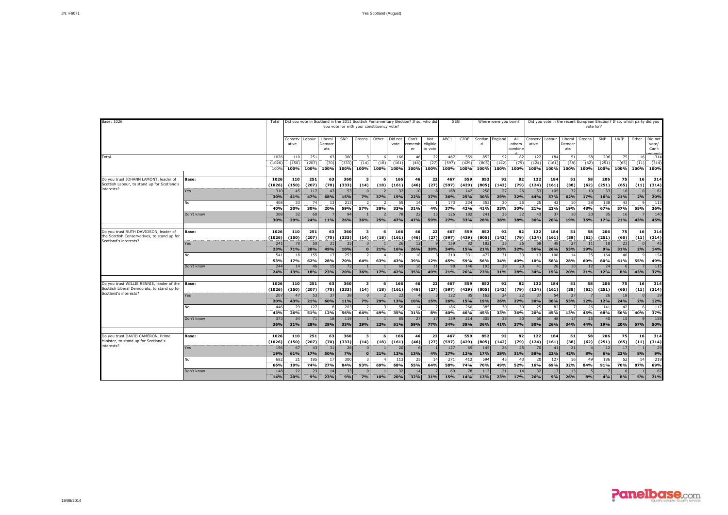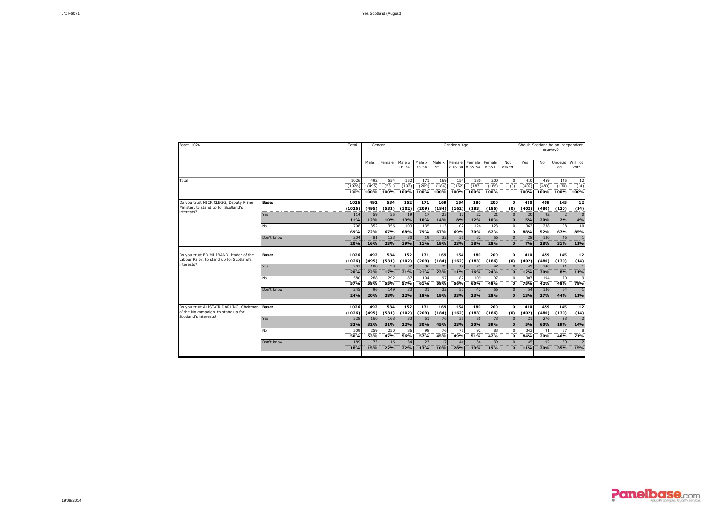| Base: 1026                                                                                              |              | Total                      |                          | Gender                   |                                |                                |                          | Gender x Age              |                          |                          |                      |                      | country?             | Should Scotland be an independent |                        |
|---------------------------------------------------------------------------------------------------------|--------------|----------------------------|--------------------------|--------------------------|--------------------------------|--------------------------------|--------------------------|---------------------------|--------------------------|--------------------------|----------------------|----------------------|----------------------|-----------------------------------|------------------------|
|                                                                                                         |              |                            | Male                     | Female                   | Male x<br>$16 - 34$            | Male x<br>$35 - 54$            | Male x<br>$55+$          | Female<br>x 16-34 x 35-54 | Female                   | Female<br>$x 55+$        | Not<br>asked         | Yes                  | No                   | Undecid<br>ed                     | Will not<br>vote       |
| Total                                                                                                   |              | 1026<br><br>(1026)<br>100% | 492<br><br>(495)<br>100% | 534<br><br>(531)<br>100% | 152<br>------<br>(102)<br>100% | 171<br>------<br>(209)<br>100% | 169<br><br>(184)<br>100% | 154<br><br>(162)<br>100%  | 180<br><br>(183)<br>100% | 200<br><br>(186)<br>100% | $\Omega$<br>(0)      | 410<br>(402)<br>100% | 459<br>(480)<br>100% | 145<br><br>(130)<br>100%          | 12<br><br>(14)<br>100% |
| Do you trust NICK CLEGG, Deputy Prime<br>Minister, to stand up for Scotland's<br>interests?             | <b>Base:</b> | 1026<br>(1026)             | 492<br>(495)             | 534<br>(531)             | 152<br>(102)                   | 171<br>(209)                   | 169<br>(184)             | 154<br>(162)              | 180<br>(183)             | 200<br>(186)             | $\Omega$<br>(0)      | 410<br>(402)         | 459<br>(480)         | 145<br>(130)                      | 12<br>(14)             |
|                                                                                                         | Yes          | 114<br>11%                 | 59<br>12%                | 55<br>10%                | 19<br>13%                      | 17<br>10%                      | 23<br>14%                | 12<br>8%                  | 22<br>12%                | 21<br>10%                | $\bf{0}$             | 20<br><b>5%</b>      | 92<br>20%            | 2%                                | 4%                     |
|                                                                                                         | No           | 708<br>69%                 | 352<br>72%               | 356<br>67%               | 103<br>68%                     | 135<br>79%                     | 113<br><br>67%           | 107<br>69%                | 126<br>70%               | 123<br>62%               | $\mathbf{o}$         | 362<br>88%           | 238<br>52%           | 98<br>67%                         | 10<br>85%              |
|                                                                                                         | Don't know   | 204<br>20%                 | 81<br>16%                | 123<br>23%               | 30<br>19%                      | 19<br>11%                      | 32<br>19%                | 36<br>23%                 | 32<br>18%                | 56<br>28%                | n                    | 28<br>7%             | 130<br>28%           | 46<br>31%                         | 11%                    |
| Do you trust ED MILIBAND, leader of the<br>Labour Party, to stand up for Scotland's                     | <b>Base:</b> | 1026<br>(1026)             | 492<br>(495)             | 534<br>(531)             | 152<br>(102)                   | 171<br>(209)                   | 169<br>(184)             | 154<br>(162)              | 180<br>(183)             | 200<br>(186)             | $\Omega$<br>(0)      | 410<br>(402)         | 459<br>(480)         | 145<br>(130)                      | $12$<br>(14)           |
| interests?                                                                                              | Yes          | 201<br>20%                 | 108<br>22%               | 93<br>17%                | 32<br>21%                      | 36<br>21%                      | 39<br>23%                | 17<br>11%                 | 29<br>16%                | 47<br>24%                | $\bf{0}$             | 49<br>12%            | 140<br>30%           | 11<br>8%                          | 11%                    |
|                                                                                                         | No           | 580<br>57%                 | 288<br>58%               | 292<br>55%               | 87<br>57%                      | 104<br>61%                     | 97<br>58%                | 87<br>56%                 | 109<br>60%               | 97<br>48%                | $\Omega$             | 307<br>75%           | 194<br>42%           | 70<br>48%                         | 78%                    |
|                                                                                                         | Don't know   | 245<br>24%                 | 96<br>20%                | 149<br>28%               | 33<br>22%                      | 31<br>18%                      | 32<br>19%                | 50<br>33%                 | 42<br>23%                | 56<br>28%                | n<br>n               | 54<br>13%            | 126<br>27%           | 64<br>44%                         | 11%                    |
| Do you trust ALISTAIR DARLING, Chairman<br>of the No campaign, to stand up for<br>Scotland's interests? | Base:        | 1026<br>(1026)             | 492<br>(495)             | 534<br>(531)             | 152<br>(102)                   | 171<br>(209)                   | 169<br>(184)             | 154<br>(162)              | 180<br>(183)             | 200<br>(186)             | $\Omega$<br>(0)      | 410<br>(402)         | 459<br>(480)         | 145<br>(130)                      | 12<br>(14)             |
|                                                                                                         | Yes          | 328<br>32%                 | 160<br>32%               | 168<br>31%               | 33<br>22%                      | 51<br>30%                      | 76<br>45%                | 35<br>23%                 | 55<br>30%                | 78<br>39%                | $\Omega$             | 21<br><b>5%</b>      | 276<br>60%           | 28<br>19%                         | 14%                    |
|                                                                                                         | <b>No</b>    | 509<br>50%                 | 259<br>53%               | 250<br>47%               | 86<br>56%                      | 98<br>57%                      | 76<br>---<br>45%         | 75<br>49%                 | 92<br>51%                | 83<br>42%                | $\Omega$<br>$\Omega$ | 343<br>84%           | 91<br>20%            | 67<br>46%                         | 71%                    |
|                                                                                                         | Don't know   | 189<br>18%                 | 73<br>15%                | 116<br>22%               | 34<br>22%                      | 23<br>13%                      | 17<br>10%                | 44<br>28%                 | 34<br><b>19%</b>         | 39<br>19%                |                      | 45<br>11%            | 92<br>20%            | 50<br>35%                         | 15%                    |
|                                                                                                         |              |                            |                          |                          |                                |                                |                          |                           |                          |                          |                      |                      |                      |                                   |                        |